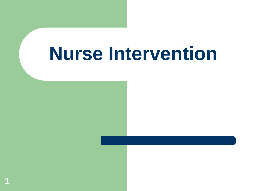# **Nurse Intervention**

**1**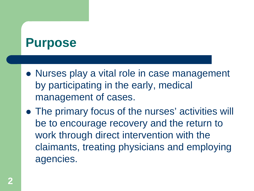#### **Purpose**

- Nurses play a vital role in case management by participating in the early, medical management of cases.
- The primary focus of the nurses' activities will be to encourage recovery and the return to work through direct intervention with the claimants, treating physicians and employing agencies.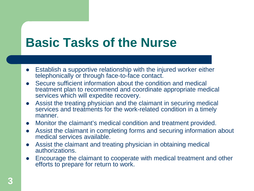#### **Basic Tasks of the Nurse**

- Establish a supportive relationship with the injured worker either telephonically or through face-to-face contact.
- Secure sufficient information about the condition and medical treatment plan to recommend and coordinate appropriate medical services which will expedite recovery.
- Assist the treating physician and the claimant in securing medical services and treatments for the work-related condition in a timely manner.
- Monitor the claimant's medical condition and treatment provided.
- Assist the claimant in completing forms and securing information about medical services available.
- Assist the claimant and treating physician in obtaining medical authorizations.
- Encourage the claimant to cooperate with medical treatment and other efforts to prepare for return to work.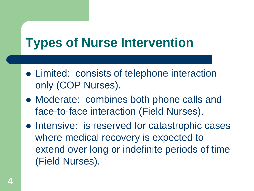## **Types of Nurse Intervention**

- Limited: consists of telephone interaction only (COP Nurses).
- Moderate: combines both phone calls and face-to-face interaction (Field Nurses).
- Intensive: is reserved for catastrophic cases where medical recovery is expected to extend over long or indefinite periods of time (Field Nurses).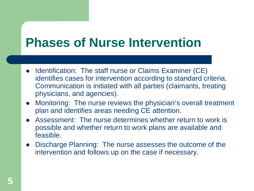## **Phases of Nurse Intervention**

- Identification: The staff nurse or Claims Examiner (CE) identifies cases for intervention according to standard criteria. Communication is initiated with all parties (claimants, treating physicians, and agencies).
- Monitoring: The nurse reviews the physician's overall treatment plan and identifies areas needing CE attention.
- Assessment: The nurse determines whether return to work is possible and whether return to work plans are available and feasible.
- Discharge Planning: The nurse assesses the outcome of the intervention and follows up on the case if necessary.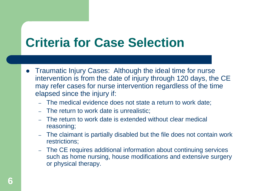## **Criteria for Case Selection**

- Traumatic Injury Cases: Although the ideal time for nurse intervention is from the date of injury through 120 days, the CE may refer cases for nurse intervention regardless of the time elapsed since the injury if:
	- The medical evidence does not state a return to work date;
	- The return to work date is unrealistic;
	- The return to work date is extended without clear medical reasoning;
	- The claimant is partially disabled but the file does not contain work restrictions;
	- The CE requires additional information about continuing services such as home nursing, house modifications and extensive surgery or physical therapy.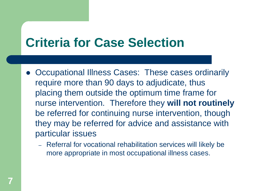### **Criteria for Case Selection**

- Occupational Illness Cases: These cases ordinarily require more than 90 days to adjudicate, thus placing them outside the optimum time frame for nurse intervention. Therefore they **will not routinely** be referred for continuing nurse intervention, though they may be referred for advice and assistance with particular issues
	- Referral for vocational rehabilitation services will likely be more appropriate in most occupational illness cases.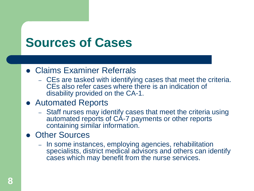## **Sources of Cases**

#### Claims Examiner Referrals

– CEs are tasked with identifying cases that meet the criteria. CEs also refer cases where there is an indication of disability provided on the CA-1.

#### Automated Reports

– Staff nurses may identify cases that meet the criteria using automated reports of CA-7 payments or other reports containing similar information.

#### Other Sources

– In some instances, employing agencies, rehabilitation specialists, district medical advisors and others can identify cases which may benefit from the nurse services.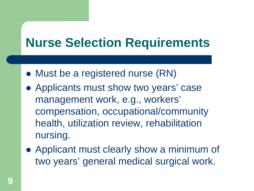### **Nurse Selection Requirements**

- Must be a registered nurse (RN)
- Applicants must show two years' case management work, e.g., workers' compensation, occupational/community health, utilization review, rehabilitation nursing.
- Applicant must clearly show a minimum of two years' general medical surgical work.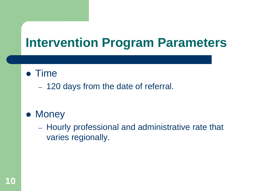#### **Intervention Program Parameters**

#### • Time

– 120 days from the date of referral.

#### • Money

– Hourly professional and administrative rate that varies regionally.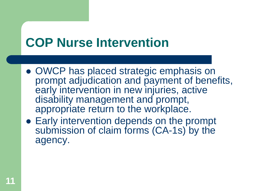- OWCP has placed strategic emphasis on prompt adjudication and payment of benefits, early intervention in new injuries, active disability management and prompt, appropriate return to the workplace.
- Early intervention depends on the prompt submission of claim forms (CA-1s) by the agency.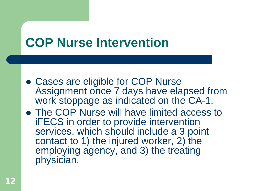- Cases are eligible for COP Nurse Assignment once 7 days have elapsed from work stoppage as indicated on the CA-1.
- The COP Nurse will have limited access to iFECS in order to provide intervention services, which should include a 3 point contact to 1) the injured worker, 2) the employing agency, and 3) the treating physician.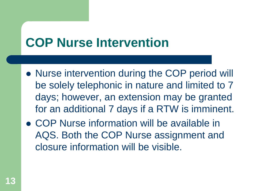- Nurse intervention during the COP period will be solely telephonic in nature and limited to 7 days; however, an extension may be granted for an additional 7 days if a RTW is imminent.
- COP Nurse information will be available in AQS. Both the COP Nurse assignment and closure information will be visible.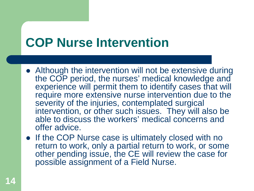- Although the intervention will not be extensive during the COP period, the nurses' medical knowledge and experience will permit them to identify cases that will require more extensive nurse intervention due to the severity of the injuries, contemplated surgical intervention, or other such issues. They will also be able to discuss the workers' medical concerns and offer advice.
- If the COP Nurse case is ultimately closed with no return to work, only a partial return to work, or some other pending issue, the CE will review the case for possible assignment of a Field Nurse.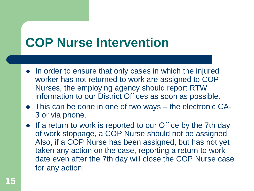- In order to ensure that only cases in which the injured worker has not returned to work are assigned to COP Nurses, the employing agency should report RTW information to our District Offices as soon as possible.
- This can be done in one of two ways the electronic CA-3 or via phone.
- If a return to work is reported to our Office by the 7th day of work stoppage, a COP Nurse should not be assigned. Also, if a COP Nurse has been assigned, but has not yet taken any action on the case, reporting a return to work date even after the 7th day will close the COP Nurse case for any action.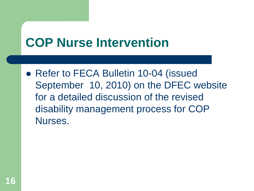• Refer to FECA Bulletin 10-04 (issued September 10, 2010) on the DFEC website for a detailed discussion of the revised disability management process for COP Nurses.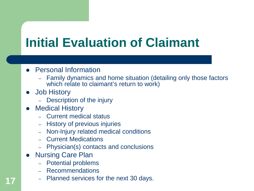## **Initial Evaluation of Claimant**

#### Personal Information

- Family dynamics and home situation (detailing only those factors which relate to claimant's return to work)
- Job History
	- Description of the injury
- Medical History
	- Current medical status
	- History of previous injuries
	- Non-Injury related medical conditions
	- Current Medications
	- Physician(s) contacts and conclusions
- Nursing Care Plan
	- Potential problems
	- Recommendations
	- Planned services for the next 30 days.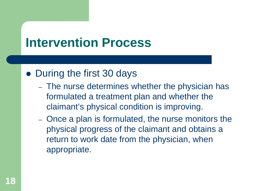#### • During the first 30 days

- The nurse determines whether the physician has formulated a treatment plan and whether the claimant's physical condition is improving.
- Once a plan is formulated, the nurse monitors the physical progress of the claimant and obtains a return to work date from the physician, when appropriate.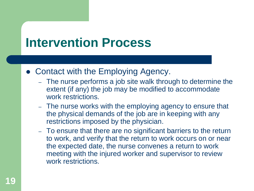- Contact with the Employing Agency.
	- The nurse performs a job site walk through to determine the extent (if any) the job may be modified to accommodate work restrictions.
	- The nurse works with the employing agency to ensure that the physical demands of the job are in keeping with any restrictions imposed by the physician.
	- To ensure that there are no significant barriers to the return to work, and verify that the return to work occurs on or near the expected date, the nurse convenes a return to work meeting with the injured worker and supervisor to review work restrictions.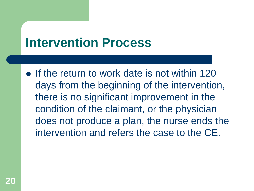$\bullet$  If the return to work date is not within 120 days from the beginning of the intervention, there is no significant improvement in the condition of the claimant, or the physician does not produce a plan, the nurse ends the intervention and refers the case to the CE.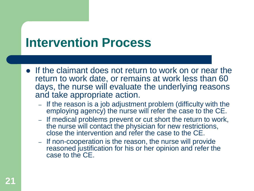- If the claimant does not return to work on or near the return to work date, or remains at work less than 60 days, the nurse will evaluate the underlying reasons and take appropriate action.
	- If the reason is a job adjustment problem (difficulty with the employing agency) the nurse will refer the case to the CE.
	- If medical problems prevent or cut short the return to work, the nurse will contact the physician for new restrictions, close the intervention and refer the case to the CE.
	- If non-cooperation is the reason, the nurse will provide reasoned justification for his or her opinion and refer the case to the CE.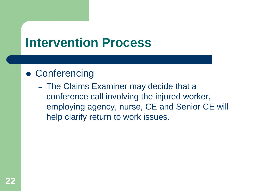#### Conferencing

– The Claims Examiner may decide that a conference call involving the injured worker, employing agency, nurse, CE and Senior CE will help clarify return to work issues.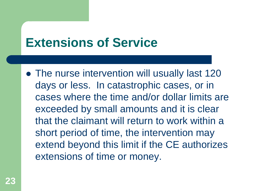### **Extensions of Service**

• The nurse intervention will usually last 120 days or less. In catastrophic cases, or in cases where the time and/or dollar limits are exceeded by small amounts and it is clear that the claimant will return to work within a short period of time, the intervention may extend beyond this limit if the CE authorizes extensions of time or money.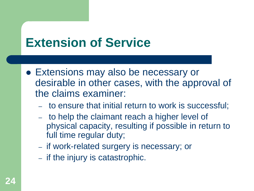## **Extension of Service**

- Extensions may also be necessary or desirable in other cases, with the approval of the claims examiner:
	- to ensure that initial return to work is successful;
	- to help the claimant reach a higher level of physical capacity, resulting if possible in return to full time regular duty;
	- if work-related surgery is necessary; or
	- if the injury is catastrophic.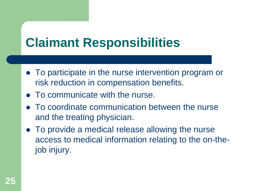## **Claimant Responsibilities**

- To participate in the nurse intervention program or risk reduction in compensation benefits.
- To communicate with the nurse.
- To coordinate communication between the nurse and the treating physician.
- To provide a medical release allowing the nurse access to medical information relating to the on-thejob injury.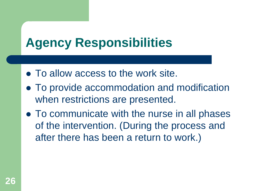### **Agency Responsibilities**

- To allow access to the work site.
- To provide accommodation and modification when restrictions are presented.
- To communicate with the nurse in all phases of the intervention. (During the process and after there has been a return to work.)